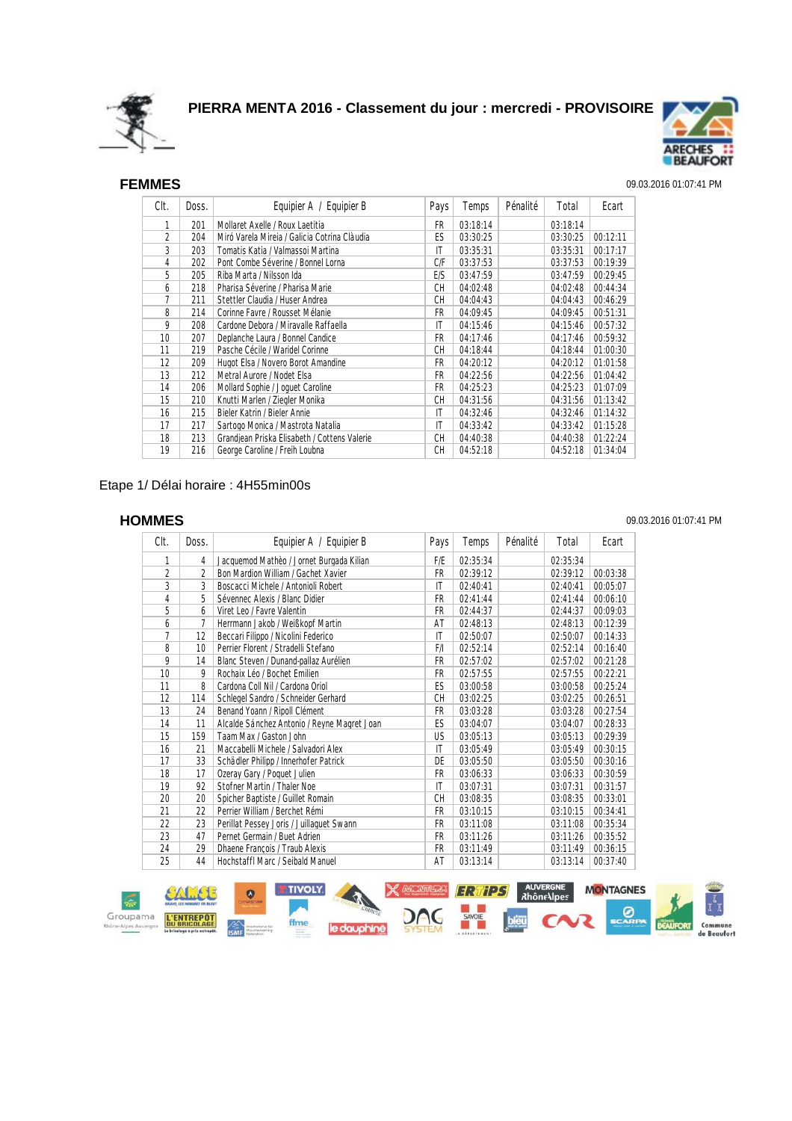



## SEF **FEMMES** 09.03.2016 01:07:41 PM

| Clt. | Doss. | Equipier A / Equipier B                      | Pays      | Temps    | Pénalité | Total    | Ecart    |
|------|-------|----------------------------------------------|-----------|----------|----------|----------|----------|
| 1    | 201   | Mollaret Axelle / Roux Laetitia              | FR        | 03:18:14 |          | 03:18:14 |          |
| 2    | 204   | Miró Varela Mireia / Galicia Cotrina Clàudia | ES        | 03:30:25 |          | 03:30:25 | 00:12:11 |
| 3    | 203   | Tomatis Katia / Valmassoi Martina            | IT        | 03:35:31 |          | 03:35:31 | 00:17:17 |
| 4    | 202   | Pont Combe Séverine / Bonnel Lorna           | C/F       | 03:37:53 |          | 03:37:53 | 00:19:39 |
| 5    | 205   | Riba Marta / Nilsson Ida                     | E/S       | 03:47:59 |          | 03:47:59 | 00:29:45 |
| 6    | 218   | Pharisa Séverine / Pharisa Marie             | <b>CH</b> | 04:02:48 |          | 04:02:48 | 00:44:34 |
| 7    | 211   | Stettler Claudia / Huser Andrea              | <b>CH</b> | 04:04:43 |          | 04:04:43 | 00:46:29 |
| 8    | 214   | Corinne Favre / Rousset Mélanie              | FR        | 04:09:45 |          | 04:09:45 | 00:51:31 |
| 9    | 208   | Cardone Debora / Miravalle Raffaella         | IT        | 04:15:46 |          | 04:15:46 | 00:57:32 |
| 10   | 207   | Deplanche Laura / Bonnel Candice             | FR        | 04:17:46 |          | 04:17:46 | 00:59:32 |
| 11   | 219   | Pasche Cécile / Waridel Corinne              | CН        | 04:18:44 |          | 04:18:44 | 01:00:30 |
| 12   | 209   | Hugot Elsa / Novero Borot Amandine           | FR        | 04:20:12 |          | 04:20:12 | 01:01:58 |
| 13   | 212   | Metral Aurore / Nodet Elsa                   | FR        | 04:22:56 |          | 04:22:56 | 01:04:42 |
| 14   | 206   | Mollard Sophie / Joquet Caroline             | FR        | 04:25:23 |          | 04:25:23 | 01:07:09 |
| 15   | 210   | Knutti Marlen / Ziegler Monika               | CН        | 04:31:56 |          | 04:31:56 | 01:13:42 |
| 16   | 215   | Bieler Katrin / Bieler Annie                 | IT        | 04:32:46 |          | 04:32:46 | 01:14:32 |
| 17   | 217   | Sartogo Monica / Mastrota Natalia            | ΙT        | 04:33:42 |          | 04:33:42 | 01:15:28 |
| 18   | 213   | Grandjean Priska Elisabeth / Cottens Valerie | <b>CH</b> | 04:40:38 |          | 04:40:38 | 01:22:24 |
| 19   | 216   | George Caroline / Freih Loubna               | <b>CH</b> | 04:52:18 |          | 04:52:18 | 01:34:04 |

### Etape 1/ Délai horaire : 4H55min00s

| Clt.           | Doss.          | Equipier A / Equipier B                     | Pays                   | Temps    | Pénalité | Total    | Ecart    |
|----------------|----------------|---------------------------------------------|------------------------|----------|----------|----------|----------|
| 1              | 4              | Jacquemod Mathèo / Jornet Burgada Kilian    | F/E                    | 02:35:34 |          | 02:35:34 |          |
| $\overline{2}$ | $\overline{2}$ | Bon Mardion William / Gachet Xavier         | FR                     | 02:39:12 |          | 02:39:12 | 00:03:38 |
| 3              | 3              | Boscacci Michele / Antonioli Robert         | IT                     | 02:40:41 |          | 02:40:41 | 00:05:07 |
| 4              | 5              | Sévennec Alexis / Blanc Didier              | FR                     | 02:41:44 |          | 02:41:44 | 00:06:10 |
| 5              | 6              | Viret Leo / Favre Valentin                  | FR                     | 02:44:37 |          | 02:44:37 | 00:09:03 |
| 6              | 7              | Herrmann Jakob / Weißkopf Martin            | AT                     | 02:48:13 |          | 02:48:13 | 00:12:39 |
| 7              | 12             | Beccari Filippo / Nicolini Federico         | IT                     | 02:50:07 |          | 02:50:07 | 00:14:33 |
| 8              | 10             | Perrier Florent / Stradelli Stefano         | F/I                    | 02:52:14 |          | 02:52:14 | 00:16:40 |
| 9              | 14             | Blanc Steven / Dunand-pallaz Aurélien       | FR                     | 02:57:02 |          | 02:57:02 | 00:21:28 |
| 10             | 9              | Rochaix Léo / Bochet Emilien                | FR                     | 02:57:55 |          | 02:57:55 | 00:22:21 |
| 11             | 8              | Cardona Coll Nil / Cardona Oriol            | ES                     | 03:00:58 |          | 03:00:58 | 00:25:24 |
| 12             | 114            | Schlegel Sandro / Schneider Gerhard         | CH                     | 03:02:25 |          | 03:02:25 | 00:26:51 |
| 13             | 24             | Benand Yoann / Ripoll Clément               | FR                     | 03:03:28 |          | 03:03:28 | 00:27:54 |
| 14             | 11             | Alcalde Sánchez Antonio / Reyne Magret Joan | ES                     | 03:04:07 |          | 03:04:07 | 00:28:33 |
| 15             | 159            | Taam Max / Gaston John                      | US                     | 03:05:13 |          | 03:05:13 | 00:29:39 |
| 16             | 21             | Maccabelli Michele / Salvadori Alex         | $\mathsf{I}\mathsf{T}$ | 03:05:49 |          | 03:05:49 | 00:30:15 |
| 17             | 33             | Schädler Philipp / Innerhofer Patrick       | DE                     | 03:05:50 |          | 03:05:50 | 00:30:16 |
| 18             | 17             | Ozeray Gary / Poquet Julien                 | FR                     | 03:06:33 |          | 03:06:33 | 00:30:59 |
| 19             | 92             | Stofner Martin / Thaler Noe                 | IT                     | 03:07:31 |          | 03:07:31 | 00:31:57 |
| 20             | 20             | Spicher Baptiste / Guillet Romain           | <b>CH</b>              | 03:08:35 |          | 03:08:35 | 00:33:01 |
| 21             | 22             | Perrier William / Berchet Rémi              | FR                     | 03:10:15 |          | 03:10:15 | 00:34:41 |
| 22             | 23             | Perillat Pessey Joris / Juillaguet Swann    | FR                     | 03:11:08 |          | 03:11:08 | 00:35:34 |
| 23             | 47             | Pernet Germain / Buet Adrien                | <b>FR</b>              | 03:11:26 |          | 03:11:26 | 00:35:52 |
| 24             | 29             | Dhaene François / Traub Alexis              | FR                     | 03:11:49 |          | 03:11:49 | 00:36:15 |
| 25             | 44             | Hochstaffl Marc / Seibald Manuel            | AT                     | 03:13:14 |          | 03:13:14 | 00:37:40 |



### SEH **HOMMES** 09.03.2016 01:07:41 PM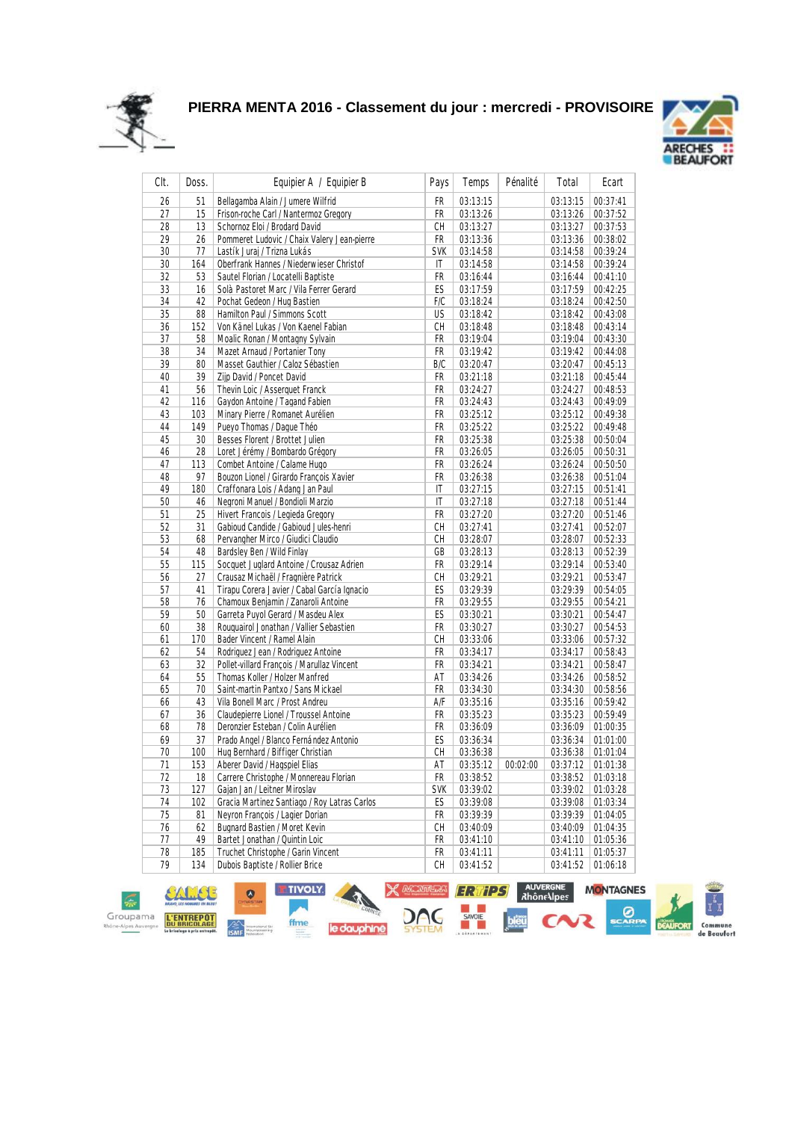



| CIt. | Doss. | Equipier A / Equipier B                      | Pays       | Temps    | Pénalité | Total    | Ecart    |
|------|-------|----------------------------------------------|------------|----------|----------|----------|----------|
| 26   | 51    | Bellagamba Alain / Jumere Wilfrid            | FR         | 03:13:15 |          | 03:13:15 | 00:37:41 |
| 27   | 15    | Frison-roche Carl / Nantermoz Gregory        | FR         | 03:13:26 |          | 03:13:26 | 00:37:52 |
| 28   | 13    | Schornoz Eloi / Brodard David                | СH         | 03:13:27 |          | 03:13:27 | 00:37:53 |
| 29   | 26    | Pommeret Ludovic / Chaix Valery Jean-pierre  | FR         | 03:13:36 |          | 03:13:36 | 00:38:02 |
| 30   | 77    | Lastík Juraj / Trizna Lukás                  | <b>SVK</b> | 03:14:58 |          | 03:14:58 | 00:39:24 |
| 30   | 164   | Oberfrank Hannes / Niederwieser Christof     | IT         | 03:14:58 |          | 03:14:58 | 00:39:24 |
| 32   | 53    | Sautel Florian / Locatelli Baptiste          | FR         | 03:16:44 |          | 03:16:44 | 00:41:10 |
| 33   | 16    | Solà Pastoret Marc / Vila Ferrer Gerard      | ES         | 03:17:59 |          | 03:17:59 | 00:42:25 |
| 34   | 42    | Pochat Gedeon / Hug Bastien                  | F/C        | 03:18:24 |          | 03:18:24 | 00:42:50 |
| 35   | 88    | Hamilton Paul / Simmons Scott                | US         | 03:18:42 |          | 03:18:42 | 00:43:08 |
| 36   | 152   | Von Känel Lukas / Von Kaenel Fabian          | СH         | 03:18:48 |          | 03:18:48 | 00:43:14 |
| 37   | 58    | Moalic Ronan / Montagny Sylvain              | FR         | 03:19:04 |          | 03:19:04 | 00:43:30 |
| 38   | 34    | Mazet Arnaud / Portanier Tony                | FR         | 03:19:42 |          | 03:19:42 | 00:44:08 |
| 39   | 80    | Masset Gauthier / Caloz Sébastien            | B/C        | 03:20:47 |          | 03:20:47 | 00:45:13 |
| 40   | 39    | Zijp David / Poncet David                    | FR         | 03:21:18 |          | 03:21:18 | 00:45:44 |
| 41   | 56    | Thevin Loic / Asserguet Franck               | FR         | 03:24:27 |          | 03:24:27 | 00:48:53 |
| 42   | 116   | Gaydon Antoine / Tagand Fabien               | FR         | 03:24:43 |          | 03:24:43 | 00:49:09 |
| 43   | 103   | Minary Pierre / Romanet Aurélien             | FR         | 03:25:12 |          | 03:25:12 | 00:49:38 |
| 44   | 149   | Pueyo Thomas / Daque Théo                    | FR         | 03:25:22 |          | 03:25:22 | 00:49:48 |
| 45   | 30    | Besses Florent / Brottet Julien              | FR         | 03:25:38 |          | 03:25:38 | 00:50:04 |
| 46   | 28    | Loret Jérémy / Bombardo Grégory              | FR         | 03:26:05 |          | 03:26:05 | 00:50:31 |
| 47   | 113   | Combet Antoine / Calame Hugo                 | FR         | 03:26:24 |          | 03:26:24 | 00:50:50 |
| 48   | 97    | Bouzon Lionel / Girardo François Xavier      | FR         | 03:26:38 |          | 03:26:38 | 00:51:04 |
| 49   | 180   | Craffonara Lois / Adang Jan Paul             | IT         | 03:27:15 |          | 03:27:15 | 00:51:41 |
| 50   | 46    | Negroni Manuel / Bondioli Marzio             | IT         | 03:27:18 |          | 03:27:18 | 00:51:44 |
| 51   | 25    | Hivert Francois / Legieda Gregory            | FR         | 03:27:20 |          | 03:27:20 | 00:51:46 |
| 52   | 31    | Gabioud Candide / Gabioud Jules-henri        | СH         | 03:27:41 |          | 03:27:41 | 00:52:07 |
| 53   | 68    | Pervangher Mirco / Giudici Claudio           | СH         | 03:28:07 |          | 03:28:07 | 00:52:33 |
| 54   | 48    | Bardsley Ben / Wild Finlay                   | GB         | 03:28:13 |          | 03:28:13 | 00:52:39 |
| 55   | 115   | Socquet Juglard Antoine / Crousaz Adrien     | FR         | 03:29:14 |          | 03:29:14 | 00:53:40 |
| 56   | 27    | Crausaz Michaël / Fragnière Patrick          | СH         | 03:29:21 |          | 03:29:21 | 00:53:47 |
| 57   | 41    | Tirapu Corera Javier / Cabal García Ignacio  | ES         | 03:29:39 |          | 03:29:39 | 00:54:05 |
| 58   | 76    | Chamoux Benjamin / Zanaroli Antoine          | FR         | 03:29:55 |          | 03:29:55 | 00:54:21 |
| 59   | 50    | Garreta Puyol Gerard / Masdeu Alex           | ES         | 03:30:21 |          | 03:30:21 | 00:54:47 |
|      |       |                                              |            |          |          |          |          |
| 60   | 38    | Rouguairol Jonathan / Vallier Sebastien      | FR         | 03:30:27 |          | 03:30:27 | 00:54:53 |
| 61   | 170   | Bader Vincent / Ramel Alain                  | СH         | 03:33:06 |          | 03:33:06 | 00:57:32 |
| 62   | 54    | Rodriguez Jean / Rodriguez Antoine           | FR         | 03:34:17 |          | 03:34:17 | 00:58:43 |
| 63   | 32    | Pollet-villard François / Marullaz Vincent   | FR         | 03:34:21 |          | 03:34:21 | 00:58:47 |
| 64   | 55    | Thomas Koller / Holzer Manfred               | AT         | 03:34:26 |          | 03:34:26 | 00:58:52 |
| 65   | 70    | Saint-martin Pantxo / Sans Mickael           | FR         | 03:34:30 |          | 03:34:30 | 00:58:56 |
| 66   | 43    | Vila Bonell Marc / Prost Andreu              | A/F        | 03:35:16 |          | 03:35:16 | 00:59:42 |
| 67   | 36    | Claudepierre Lionel / Troussel Antoine       | FR         | 03:35:23 |          | 03:35:23 | 00:59:49 |
| 68   | 78    | Deronzier Esteban / Colin Aurélien           | FR         | 03:36:09 |          | 03:36:09 | 01:00:35 |
| 69   | 37    | Prado Angel / Blanco Fernández Antonio       | ES         | 03:36:34 |          | 03:36:34 | 01:01:00 |
| 70   | 100   | Hug Bernhard / Biffiger Christian            | CH         | 03:36:38 |          | 03:36:38 | 01:01:04 |
| 71   | 153   | Aberer David / Hagspiel Elias                | AT         | 03:35:12 | 00:02:00 | 03:37:12 | 01:01:38 |
| 72   | 18    | Carrere Christophe / Monnereau Florian       | FR         | 03:38:52 |          | 03:38:52 | 01:03:18 |
| 73   | 127   | Gajan Jan / Leitner Miroslav                 | <b>SVK</b> | 03:39:02 |          | 03:39:02 | 01:03:28 |
| 74   | 102   | Gracia Martinez Santiago / Roy Latras Carlos | ES         | 03:39:08 |          | 03:39:08 | 01:03:34 |
| 75   | 81    | Neyron François / Lagier Dorian              | FR         | 03:39:39 |          | 03:39:39 | 01:04:05 |
| 76   | 62    | Bugnard Bastien / Moret Kevin                | CН         | 03:40:09 |          | 03:40:09 | 01:04:35 |
| 77   | 49    | Bartet Jonathan / Quintin Loic               | FR         | 03:41:10 |          | 03:41:10 | 01:05:36 |
| 78   | 185   | Truchet Christophe / Garin Vincent           | FR         | 03:41:11 |          | 03:41:11 | 01:05:37 |
| 79   | 134   | Dubois Baptiste / Rollier Brice              | СH         | 03:41:52 |          | 03:41:52 | 01:06:18 |

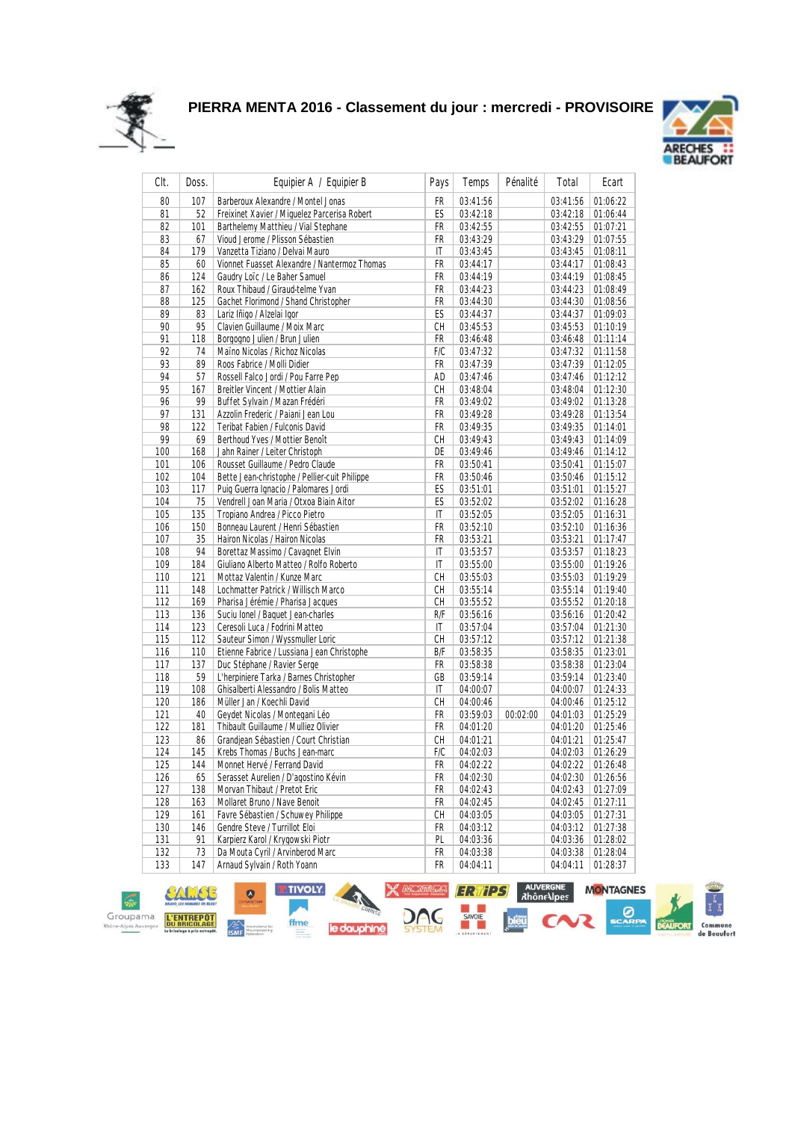



| CIt.       | Doss.      | Equipier A / Equipier B                                              | Pays                   | Temps    | Pénalité | Total    | Ecart    |
|------------|------------|----------------------------------------------------------------------|------------------------|----------|----------|----------|----------|
| 80         | 107        | Barberoux Alexandre / Montel Jonas                                   | FR                     | 03:41:56 |          | 03:41:56 | 01:06:22 |
| 81         | 52         | Freixinet Xavier / Miquelez Parcerisa Robert                         | ES                     | 03:42:18 |          | 03:42:18 | 01:06:44 |
| 82         | 101        | Barthelemy Matthieu / Vial Stephane                                  | FR                     | 03:42:55 |          | 03:42:55 | 01:07:21 |
| 83         | 67         | Vioud Jerome / Plisson Sébastien                                     | FR                     | 03:43:29 |          | 03:43:29 | 01:07:55 |
| 84         | 179        | Vanzetta Tiziano / Delvai Mauro                                      | IT                     | 03:43:45 |          | 03:43:45 | 01:08:11 |
| 85         | 60         | Vionnet Fuasset Alexandre / Nantermoz Thomas                         | FR                     | 03:44:17 |          | 03:44:17 | 01:08:43 |
| 86         | 124        | Gaudry Loïc / Le Baher Samuel                                        | FR                     | 03:44:19 |          | 03:44:19 | 01:08:45 |
| 87         | 162        | Roux Thibaud / Giraud-telme Yvan                                     | FR                     | 03:44:23 |          | 03:44:23 | 01:08:49 |
| 88         | 125        | Gachet Florimond / Shand Christopher                                 | FR                     | 03:44:30 |          | 03:44:30 | 01:08:56 |
| 89         | 83         | Lariz Iñigo / Alzelai Igor                                           | ES                     | 03:44:37 |          | 03:44:37 | 01:09:03 |
| 90         | 95         | Clavien Guillaume / Moix Marc                                        | СH                     | 03:45:53 |          | 03:45:53 | 01:10:19 |
| 91         | 118        | Borgogno Julien / Brun Julien                                        | FR                     | 03:46:48 |          | 03:46:48 | 01:11:14 |
| 92         | 74         | Maïno Nicolas / Richoz Nicolas                                       | F/C                    | 03:47:32 |          | 03:47:32 | 01:11:58 |
| 93         | 89         | Roos Fabrice / Molli Didier                                          | FR                     | 03:47:39 |          | 03:47:39 | 01:12:05 |
| 94         | 57         | Rossell Falco Jordi / Pou Farre Pep                                  | AD                     | 03:47:46 |          | 03:47:46 | 01:12:12 |
| 95         | 167        | <b>Breitler Vincent / Mottier Alain</b>                              | CН                     | 03:48:04 |          | 03:48:04 | 01:12:30 |
| 96         | 99         | Buffet Sylvain / Mazan Frédéri                                       | FR                     | 03:49:02 |          | 03:49:02 | 01:13:28 |
| 97         | 131        | Azzolin Frederic / Paiani Jean Lou                                   | FR                     | 03:49:28 |          | 03:49:28 | 01:13:54 |
| 98         | 122        | Teribat Fabien / Fulconis David                                      | FR                     | 03:49:35 |          | 03:49:35 | 01:14:01 |
| 99         | 69         | Berthoud Yves / Mottier Benoît                                       | CН                     | 03:49:43 |          | 03:49:43 | 01:14:09 |
| 100        | 168        | Jahn Rainer / Leiter Christoph                                       | DE                     | 03:49:46 |          | 03:49:46 | 01:14:12 |
| 101        | 106        | Rousset Guillaume / Pedro Claude                                     | FR                     | 03:50:41 |          | 03:50:41 | 01:15:07 |
| 102        | 104        | Bette Jean-christophe / Pellier-cuit Philippe                        | FR                     | 03:50:46 |          | 03:50:46 | 01:15:12 |
| 103        | 117        | Puig Guerra Ignacio / Palomares Jordi                                | ES                     | 03:51:01 |          | 03:51:01 | 01:15:27 |
| 104        | 75         | Vendrell Joan Maria / Otxoa Biain Aitor                              | ES                     | 03:52:02 |          | 03:52:02 | 01:16:28 |
| 105        | 135        | Tropiano Andrea / Picco Pietro                                       | IT                     | 03:52:05 |          | 03:52:05 | 01:16:31 |
| 106        | 150        | Bonneau Laurent / Henri Sébastien                                    | FR                     | 03:52:10 |          | 03:52:10 | 01:16:36 |
| 107        | 35         | Hairon Nicolas / Hairon Nicolas                                      | FR                     | 03:53:21 |          | 03:53:21 | 01:17:47 |
| 108        | 94         | Borettaz Massimo / Cavagnet Elvin                                    | $\mathsf{I}\mathsf{T}$ | 03:53:57 |          | 03:53:57 | 01:18:23 |
| 109        | 184        | Giuliano Alberto Matteo / Rolfo Roberto                              | IT                     | 03:55:00 |          | 03:55:00 | 01:19:26 |
| 110        | 121        | Mottaz Valentin / Kunze Marc                                         | СH                     | 03:55:03 |          | 03:55:03 | 01:19:29 |
| 111        | 148        | Lochmatter Patrick / Willisch Marco                                  | СH                     | 03:55:14 |          | 03:55:14 | 01:19:40 |
| 112        | 169        | Pharisa Jérémie / Pharisa Jacques                                    | СH                     | 03:55:52 |          | 03:55:52 | 01:20:18 |
| 113        | 136        | Suciu Ionel / Baquet Jean-charles                                    | R/F                    | 03:56:16 |          | 03:56:16 | 01:20:42 |
| 114        | 123        | Ceresoli Luca / Fodrini Matteo                                       | IT                     | 03:57:04 |          | 03:57:04 | 01:21:30 |
| 115        | 112        | Sauteur Simon / Wyssmuller Loric                                     | СH                     | 03:57:12 |          | 03:57:12 | 01:21:38 |
| 116        | 110        | Etienne Fabrice / Lussiana Jean Christophe                           | B/F                    | 03:58:35 |          | 03:58:35 | 01:23:01 |
| 117        | 137        | Duc Stéphane / Ravier Serge                                          | FR                     | 03:58:38 |          | 03:58:38 | 01:23:04 |
| 118        | 59         | L'herpiniere Tarka / Barnes Christopher                              | GB                     | 03:59:14 |          | 03:59:14 | 01:23:40 |
| 119        | 108        | Ghisalberti Alessandro / Bolis Matteo                                | IT                     | 04:00:07 |          | 04:00:07 | 01:24:33 |
| 120        | 186        | Müller Jan / Koechli David                                           | СH                     | 04:00:46 |          | 04:00:46 | 01:25:12 |
| 121        | 40         | Geydet Nicolas / Montegani Léo                                       | FR                     | 03:59:03 | 00:02:00 | 04:01:03 | 01:25:29 |
| 122        | 181        | Thibault Guillaume / Mulliez Olivier                                 | FR                     | 04:01:20 |          | 04:01:20 | 01:25:46 |
| 123        | 86         | Grandjean Sébastien / Court Christian                                | СH                     | 04:01:21 |          | 04:01:21 | 01:25:47 |
| 124        | 145        | Krebs Thomas / Buchs Jean-marc                                       | F/C                    | 04:02:03 |          | 04:02:03 | 01:26:29 |
| 125        | 144        | Monnet Hervé / Ferrand David                                         | <b>FR</b>              | 04:02:22 |          | 04:02:22 | 01:26:48 |
| 126        | 65         | Serasset Aurelien / D'agostino Kévin                                 | FR                     | 04:02:30 |          | 04:02:30 | 01:26:56 |
| 127        | 138        | Morvan Thibaut / Pretot Eric                                         | FR                     | 04:02:43 |          | 04:02:43 | 01:27:09 |
|            |            | Mollaret Bruno / Nave Benoit                                         | FR                     |          |          | 04:02:45 | 01:27:11 |
| 128<br>129 | 163<br>161 | Favre Sébastien / Schuwey Philippe                                   | СH                     | 04:02:45 |          | 04:03:05 |          |
|            | 146        | Gendre Steve / Turrillot Eloi                                        |                        | 04:03:05 |          | 04:03:12 | 01:27:31 |
| 130        |            |                                                                      | FR                     | 04:03:12 |          | 04:03:36 | 01:27:38 |
| 131        | 91         | Karpierz Karol / Krygowski Piotr<br>Da Mouta Cyril / Arvinberod Marc | PL                     | 04:03:36 |          |          | 01:28:02 |
| 132        | 73         |                                                                      | FR                     | 04:03:38 |          | 04:03:38 | 01:28:04 |
| 133        | 147        | Arnaud Sylvain / Roth Yoann                                          | FR                     | 04:04:11 |          | 04:04:11 | 01:28:37 |

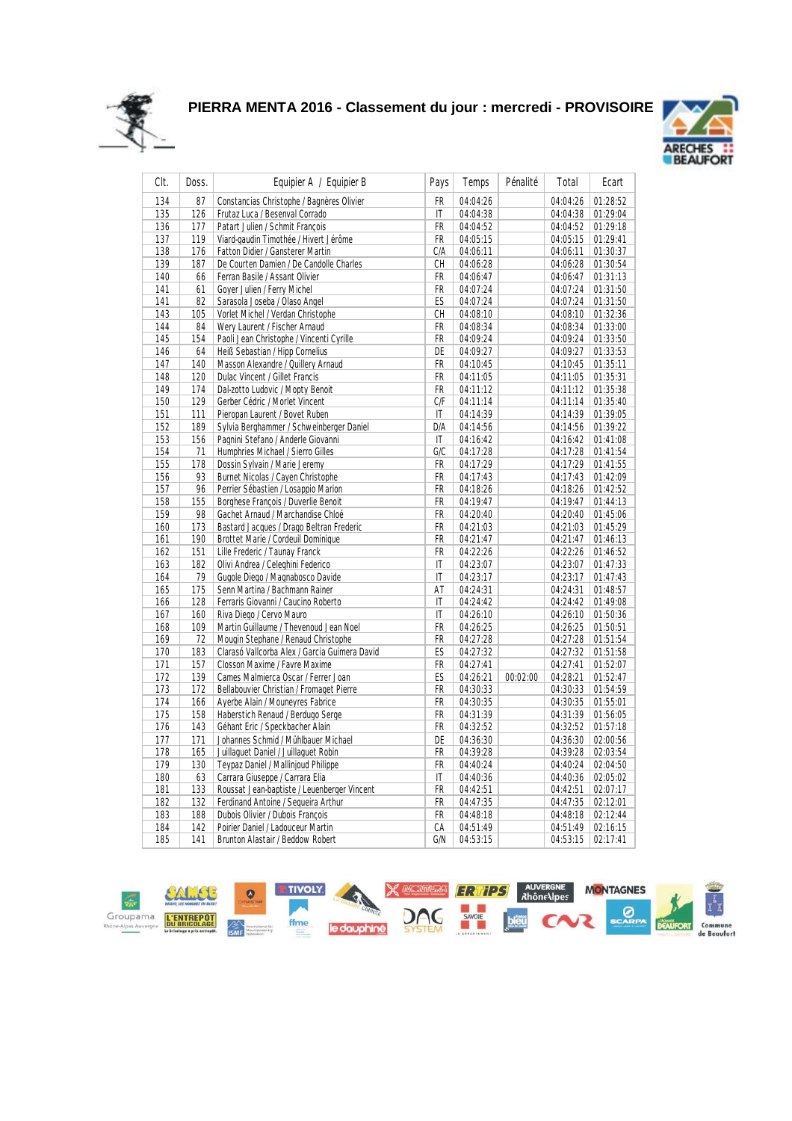



| CIt. | Doss. | Equipier A / Equipier B                       | Pays         | Temps    | Pénalité | Total    | Ecart    |
|------|-------|-----------------------------------------------|--------------|----------|----------|----------|----------|
| 134  | 87    | Constancias Christophe / Bagnères Olivier     | FR.          | 04:04:26 |          | 04:04:26 | 01:28:52 |
| 135  | 126   | Frutaz Luca / Besenval Corrado                | $\mathsf{I}$ | 04:04:38 |          | 04:04:38 | 01:29:04 |
| 136  | 177   | Patart Julien / Schmit François               | FR           | 04:04:52 |          | 04:04:52 | 01:29:18 |
| 137  | 119   | Viard-gaudin Timothée / Hivert Jérôme         | <b>FR</b>    | 04:05:15 |          | 04:05:15 | 01:29:41 |
| 138  | 176   | Fatton Didier / Gansterer Martin              | C/A          | 04:06:11 |          | 04:06:11 | 01:30:37 |
| 139  | 187   | De Courten Damien / De Candolle Charles       | СH           | 04:06:28 |          | 04:06:28 | 01:30:54 |
| 140  | 66    | Ferran Basile / Assant Olivier                | FR           | 04:06:47 |          | 04:06:47 | 01:31:13 |
| 141  | 61    | Goyer Julien / Ferry Michel                   | FR           | 04:07:24 |          | 04:07:24 | 01:31:50 |
| 141  | 82    | Sarasola Joseba / Olaso Angel                 | ES           | 04:07:24 |          | 04:07:24 | 01:31:50 |
| 143  | 105   | Vorlet Michel / Verdan Christophe             | СH           | 04:08:10 |          | 04:08:10 | 01:32:36 |
| 144  | 84    | Wery Laurent / Fischer Arnaud                 | <b>FR</b>    | 04:08:34 |          | 04:08:34 | 01:33:00 |
| 145  | 154   | Paoli Jean Christophe / Vincenti Cyrille      | FR           | 04:09:24 |          | 04:09:24 | 01:33:50 |
| 146  | 64    | Heiß Sebastian / Hipp Cornelius               | DE           | 04:09:27 |          | 04:09:27 | 01:33:53 |
| 147  | 140   | Masson Alexandre / Quillery Arnaud            | FR           | 04:10:45 |          | 04:10:45 | 01:35:11 |
| 148  | 120   | Dulac Vincent / Gillet Francis                | FR           | 04:11:05 |          | 04:11:05 | 01:35:31 |
| 149  | 174   | Dal-zotto Ludovic / Mopty Benoit              | FR           | 04:11:12 |          | 04:11:12 | 01:35:38 |
| 150  | 129   | Gerber Cédric / Morlet Vincent                | C/F          | 04:11:14 |          | 04:11:14 | 01:35:40 |
| 151  | 111   | Pieropan Laurent / Bovet Ruben                | IT           | 04:14:39 |          | 04:14:39 | 01:39:05 |
| 152  | 189   | Sylvia Berghammer / Schweinberger Daniel      | D/A          | 04:14:56 |          | 04:14:56 | 01:39:22 |
| 153  | 156   | Pagnini Stefano / Anderle Giovanni            | $\mathsf{I}$ | 04:16:42 |          | 04:16:42 | 01:41:08 |
| 154  | 71    | Humphries Michael / Sierro Gilles             | G/C          | 04:17:28 |          | 04:17:28 | 01:41:54 |
| 155  | 178   | Dossin Sylvain / Marie Jeremy                 | FR           | 04:17:29 |          | 04:17:29 | 01:41:55 |
| 156  | 93    | Burnet Nicolas / Cayen Christophe             | FR           | 04:17:43 |          | 04:17:43 | 01:42:09 |
| 157  | 96    | Perrier Sébastien / Losappio Marion           | FR           | 04:18:26 |          | 04:18:26 | 01:42:52 |
| 158  | 155   | Borghese François / Duverlie Benoit           | FR           | 04:19:47 |          | 04:19:47 | 01:44:13 |
| 159  | 98    | Gachet Arnaud / Marchandise Chloé             | FR           | 04:20:40 |          | 04:20:40 | 01:45:06 |
| 160  | 173   | Bastard Jacques / Drago Beltran Frederic      | <b>FR</b>    | 04:21:03 |          | 04:21:03 | 01:45:29 |
| 161  | 190   | Brottet Marie / Cordeuil Dominique            | FR           | 04:21:47 |          | 04:21:47 | 01:46:13 |
| 162  | 151   | Lille Frederic / Taunay Franck                | <b>FR</b>    | 04:22:26 |          | 04:22:26 | 01:46:52 |
| 163  | 182   | Olivi Andrea / Celeghini Federico             | IT           | 04:23:07 |          | 04:23:07 | 01:47:33 |
| 164  | 79    | Gugole Diego / Magnabosco Davide              | IT           | 04:23:17 |          | 04:23:17 | 01:47:43 |
| 165  | 175   | Senn Martina / Bachmann Rainer                | AT           | 04:24:31 |          | 04:24:31 | 01:48:57 |
| 166  | 128   | Ferraris Giovanni / Caucino Roberto           | IT           | 04:24:42 |          | 04:24:42 | 01:49:08 |
| 167  | 160   | Riva Diego / Cervo Mauro                      | $\mathsf{I}$ | 04:26:10 |          | 04:26:10 | 01:50:36 |
| 168  | 109   | Martin Guillaume / Thevenoud Jean Noel        | <b>FR</b>    | 04:26:25 |          | 04:26:25 | 01:50:51 |
| 169  | 72    | Mougin Stephane / Renaud Christophe           | FR           | 04:27:28 |          | 04:27:28 | 01:51:54 |
| 170  | 183   | Clarasó Vallcorba Alex / Garcia Guimera David | ES           | 04:27:32 |          | 04:27:32 | 01:51:58 |
| 171  | 157   | Closson Maxime / Favre Maxime                 | FR           | 04:27:41 |          | 04:27:41 | 01:52:07 |
| 172  | 139   | Cames Malmierca Oscar / Ferrer Joan           | ES           | 04:26:21 | 00:02:00 | 04:28:21 | 01:52:47 |
| 173  | 172   | Bellabouvier Christian / Fromaget Pierre      | FR           | 04:30:33 |          | 04:30:33 | 01:54:59 |
| 174  | 166   | Ayerbe Alain / Mouneyres Fabrice              | FR           | 04:30:35 |          | 04:30:35 | 01:55:01 |
| 175  | 158   | Haberstich Renaud / Berdugo Serge             | FR           | 04:31:39 |          | 04:31:39 | 01:56:05 |
| 176  | 143   | Géhant Eric / Speckbacher Alain               | FR           | 04:32:52 |          | 04:32:52 | 01:57:18 |
| 177  | 171   | Johannes Schmid / Mühlbauer Michael           | DE           | 04:36:30 |          | 04:36:30 | 02:00:56 |
| 178  | 165   | Juillaquet Daniel / Juillaquet Robin          | FR           | 04:39:28 |          | 04:39:28 | 02:03:54 |
| 179  | 130   | Teypaz Daniel / Mallinjoud Philippe           | FR           | 04:40:24 |          | 04:40:24 | 02:04:50 |
| 180  | 63    | Carrara Giuseppe / Carrara Elia               | IT           | 04:40:36 |          | 04:40:36 | 02:05:02 |
| 181  | 133   | Roussat Jean-baptiste / Leuenberger Vincent   | FR           | 04:42:51 |          | 04:42:51 | 02:07:17 |
| 182  | 132   | Ferdinand Antoine / Sequeira Arthur           | FR.          | 04:47:35 |          | 04:47:35 | 02:12:01 |
| 183  | 188   | Dubois Olivier / Dubois François              | FR           | 04:48:18 |          | 04:48:18 | 02:12:44 |
| 184  | 142   | Poirier Daniel / Ladouceur Martin             | CA           | 04:51:49 |          | 04:51:49 | 02:16:15 |
| 185  | 141   | <b>Brunton Alastair / Beddow Robert</b>       | G/N          | 04:53:15 |          | 04:53:15 | 02:17:41 |